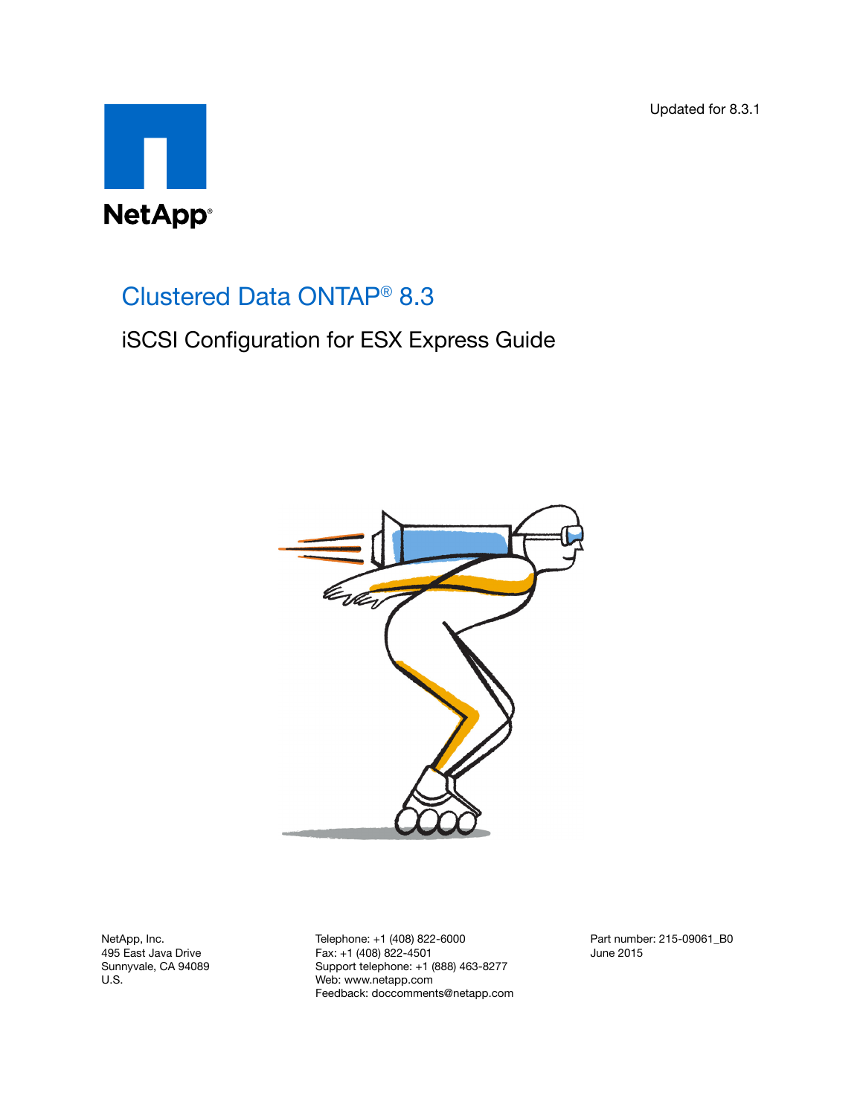Updated for 8.3.1



# Clustered Data ONTAP® 8.3

iSCSI Configuration for ESX Express Guide



NetApp, Inc. 495 East Java Drive Sunnyvale, CA 94089 U.S.

Telephone: +1 (408) 822-6000 Fax: +1 (408) 822-4501 Support telephone: +1 (888) 463-8277 Web: www.netapp.com Feedback: doccomments@netapp.com Part number: 215-09061\_B0 June 2015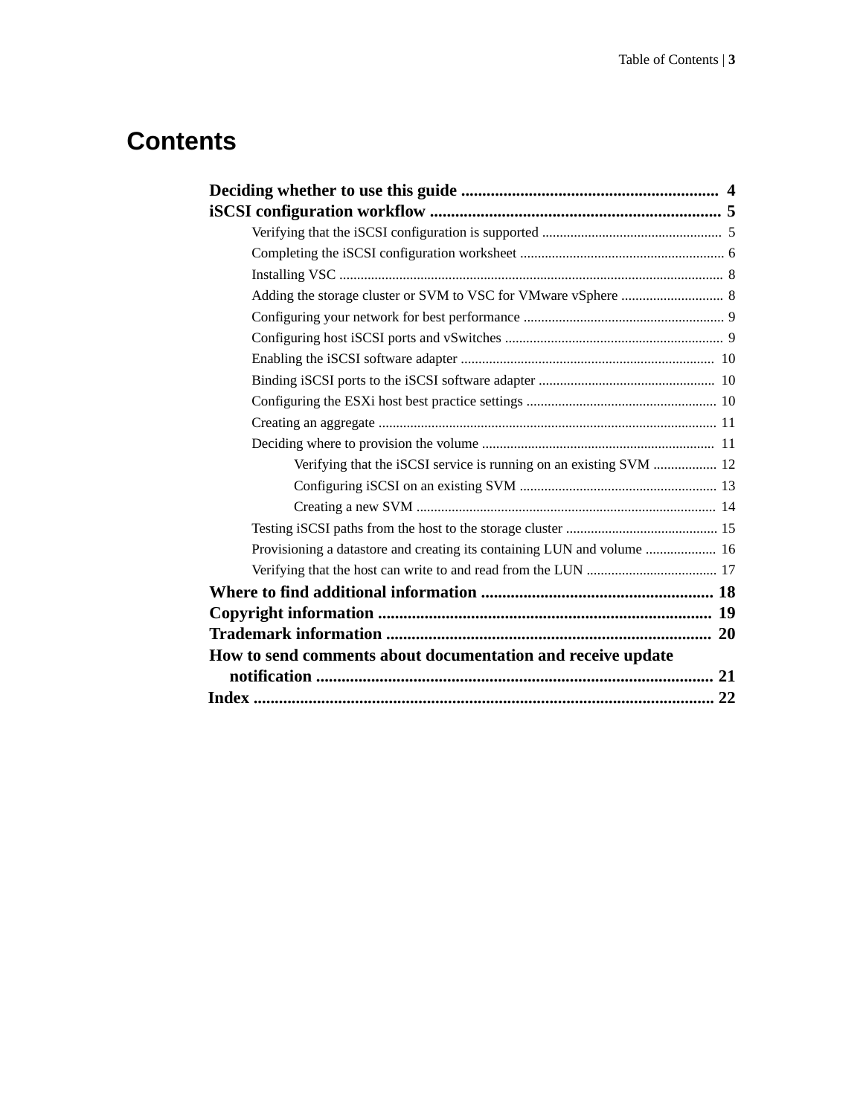# **Contents**

| Verifying that the iSCSI service is running on an existing SVM  12      |
|-------------------------------------------------------------------------|
|                                                                         |
|                                                                         |
|                                                                         |
| Provisioning a datastore and creating its containing LUN and volume  16 |
|                                                                         |
|                                                                         |
|                                                                         |
|                                                                         |
| How to send comments about documentation and receive update             |
|                                                                         |
|                                                                         |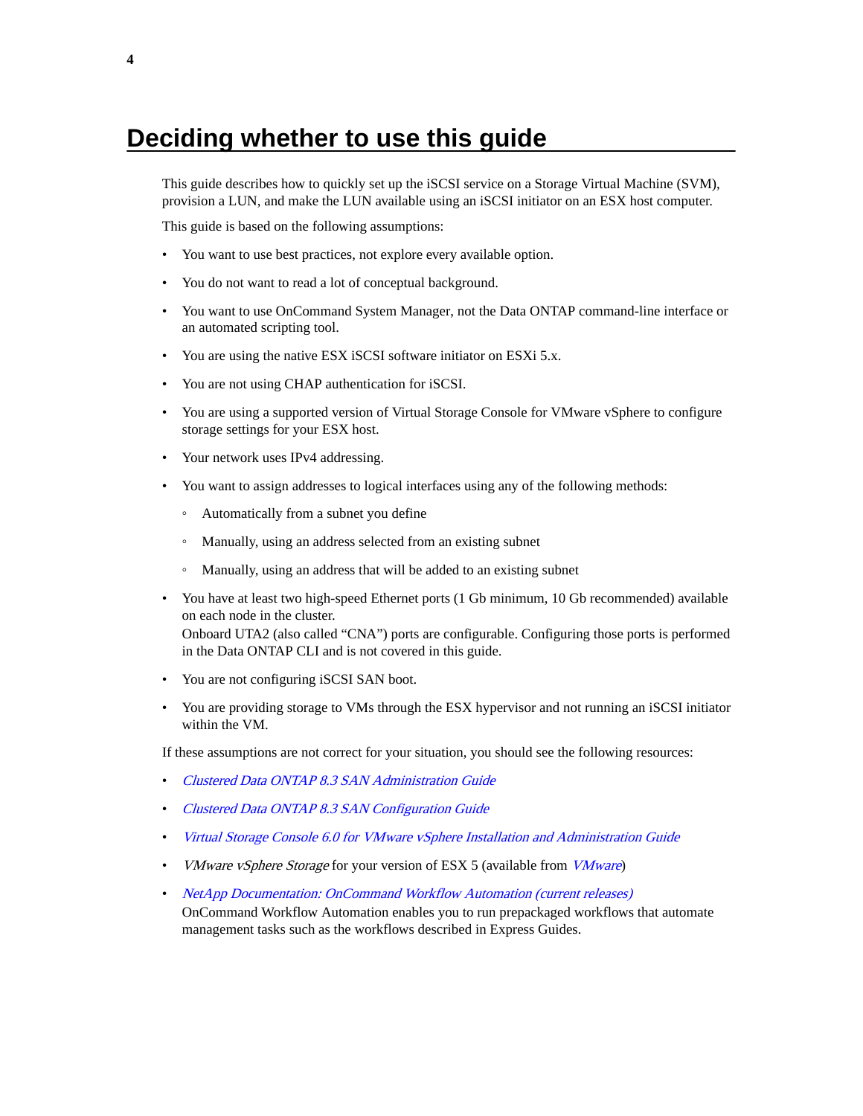# <span id="page-3-0"></span>**Deciding whether to use this guide**

This guide describes how to quickly set up the iSCSI service on a Storage Virtual Machine (SVM), provision a LUN, and make the LUN available using an iSCSI initiator on an ESX host computer.

This guide is based on the following assumptions:

- You want to use best practices, not explore every available option.
- You do not want to read a lot of conceptual background.
- You want to use OnCommand System Manager, not the Data ONTAP command-line interface or an automated scripting tool.
- You are using the native ESX iSCSI software initiator on ESXi 5.x.
- You are not using CHAP authentication for iSCSI.
- You are using a supported version of Virtual Storage Console for VMware vSphere to configure storage settings for your ESX host.
- Your network uses IPv4 addressing.
- You want to assign addresses to logical interfaces using any of the following methods:
	- Automatically from a subnet you define
	- Manually, using an address selected from an existing subnet
	- Manually, using an address that will be added to an existing subnet
- You have at least two high-speed Ethernet ports (1 Gb minimum, 10 Gb recommended) available on each node in the cluster. Onboard UTA2 (also called "CNA") ports are configurable. Configuring those ports is performed in the Data ONTAP CLI and is not covered in this guide.
- You are not configuring iSCSI SAN boot.
- You are providing storage to VMs through the ESX hypervisor and not running an iSCSI initiator within the VM.

If these assumptions are not correct for your situation, you should see the following resources:

- [Clustered Data ONTAP 8.3 SAN Administration Guide](https://library.netapp.com/ecm/ecm_download_file/ECMP12458215)
- [Clustered Data ONTAP 8.3 SAN Configuration Guide](https://library.netapp.com/ecm/ecm_download_file/ECMP12458217)
- [Virtual Storage Console 6.0 for VMware vSphere Installation and Administration Guide](https://library.netapp.com/ecm/ecm_download_file/ECMP12405914)
- [VMware](http://www.vmware.com) vSphere Storage for your version of ESX 5 (available from VMware)
- [NetApp Documentation: OnCommand Workflow Automation \(current releases\)](http://mysupport.netapp.com/documentation/productlibrary/index.html?productID=61550) OnCommand Workflow Automation enables you to run prepackaged workflows that automate management tasks such as the workflows described in Express Guides.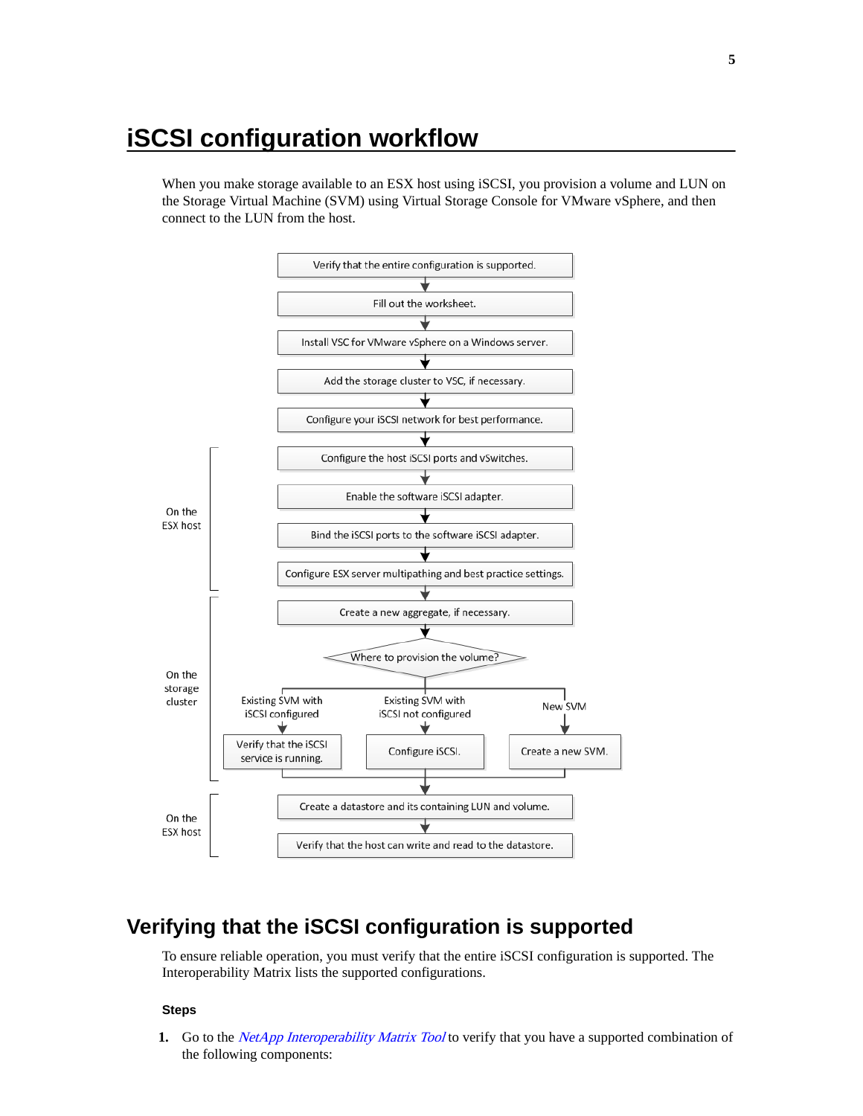# <span id="page-4-0"></span>**iSCSI configuration workflow**

When you make storage available to an ESX host using iSCSI, you provision a volume and LUN on the Storage Virtual Machine (SVM) using Virtual Storage Console for VMware vSphere, and then connect to the LUN from the host.



# **Verifying that the iSCSI configuration is supported**

To ensure reliable operation, you must verify that the entire iSCSI configuration is supported. The Interoperability Matrix lists the supported configurations.

#### **Steps**

**1.** Go to the *[NetApp Interoperability Matrix Tool](http://mysupport.netapp.com/matrix)* to verify that you have a supported combination of the following components: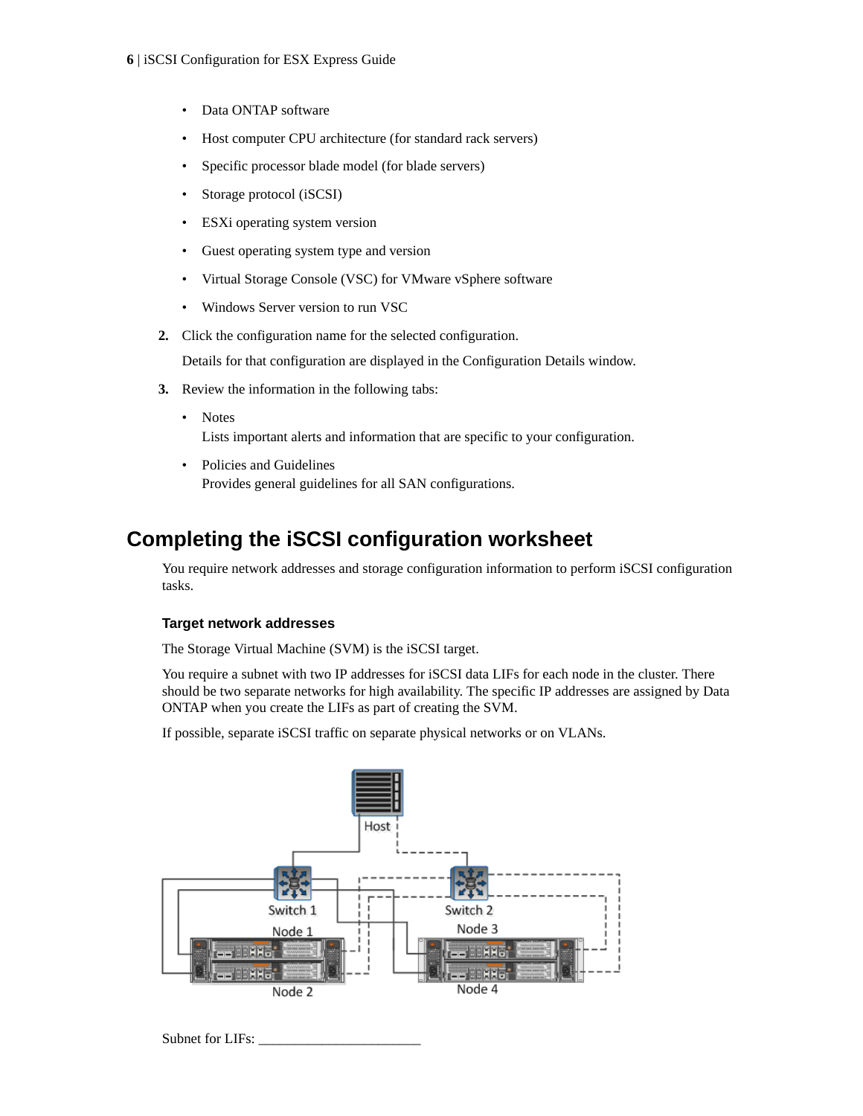- <span id="page-5-0"></span>Data ONTAP software
- Host computer CPU architecture (for standard rack servers)
- Specific processor blade model (for blade servers)
- Storage protocol (iSCSI)
- ESXi operating system version
- Guest operating system type and version
- Virtual Storage Console (VSC) for VMware vSphere software
- Windows Server version to run VSC
- **2.** Click the configuration name for the selected configuration.

Details for that configuration are displayed in the Configuration Details window.

- **3.** Review the information in the following tabs:
	- Notes Lists important alerts and information that are specific to your configuration.
	- Policies and Guidelines Provides general guidelines for all SAN configurations.

# **Completing the iSCSI configuration worksheet**

You require network addresses and storage configuration information to perform iSCSI configuration tasks.

### **Target network addresses**

The Storage Virtual Machine (SVM) is the iSCSI target.

You require a subnet with two IP addresses for iSCSI data LIFs for each node in the cluster. There should be two separate networks for high availability. The specific IP addresses are assigned by Data ONTAP when you create the LIFs as part of creating the SVM.

If possible, separate iSCSI traffic on separate physical networks or on VLANs.



Subnet for LIFs: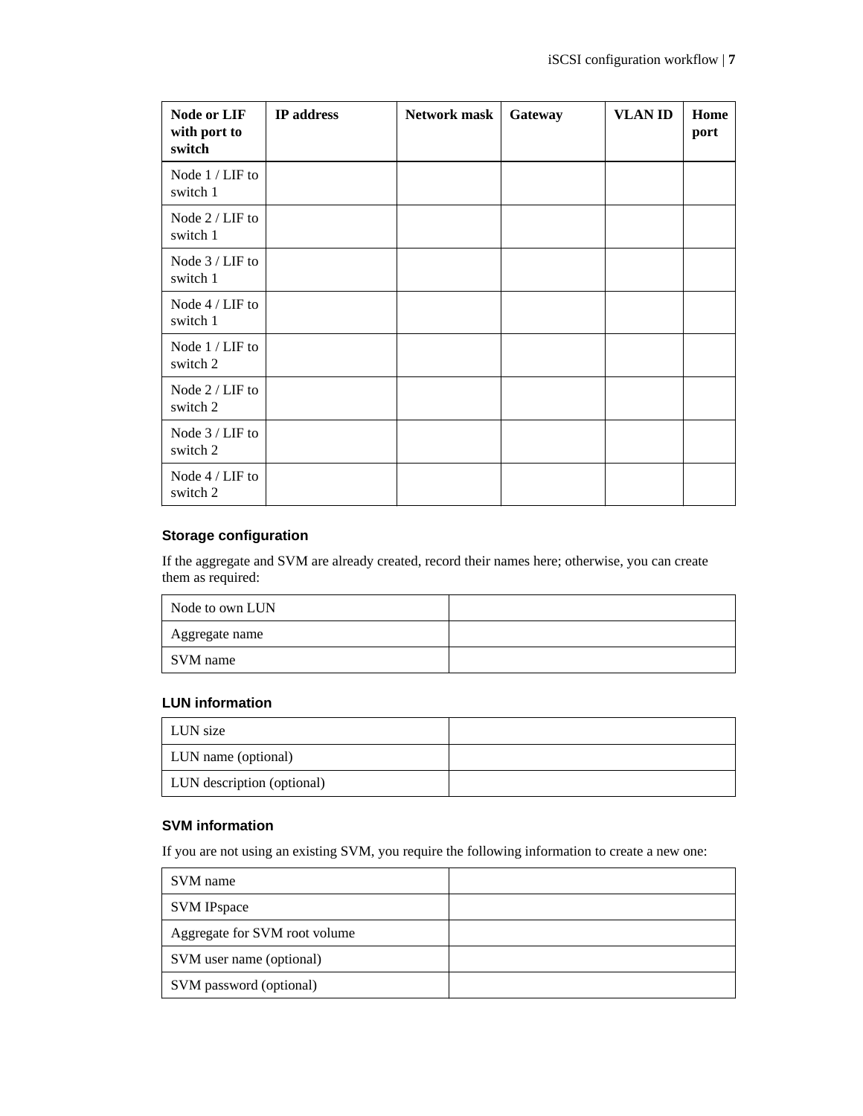| <b>Node or LIF</b><br>with port to<br>switch | IP address | Network mask | Gateway | <b>VLAN ID</b> | Home<br>port |
|----------------------------------------------|------------|--------------|---------|----------------|--------------|
| Node 1 / LIF to<br>switch 1                  |            |              |         |                |              |
| Node 2 / LIF to<br>switch 1                  |            |              |         |                |              |
| Node 3 / LIF to<br>switch 1                  |            |              |         |                |              |
| Node 4 / LIF to<br>switch 1                  |            |              |         |                |              |
| Node $1 /$ LIF to<br>switch 2                |            |              |         |                |              |
| Node $2 / LIF$ to<br>switch 2                |            |              |         |                |              |
| Node $3 /$ LIF to<br>switch 2                |            |              |         |                |              |
| Node 4 / LIF to<br>switch 2                  |            |              |         |                |              |

## **Storage configuration**

If the aggregate and SVM are already created, record their names here; otherwise, you can create them as required:

| Node to own LUN |  |
|-----------------|--|
| Aggregate name  |  |
| SVM name        |  |

### **LUN information**

| LUN size                   |  |
|----------------------------|--|
| LUN name (optional)        |  |
| LUN description (optional) |  |

### **SVM information**

If you are not using an existing SVM, you require the following information to create a new one:

| SVM name                      |  |
|-------------------------------|--|
| <b>SVM IPspace</b>            |  |
| Aggregate for SVM root volume |  |
| SVM user name (optional)      |  |
| SVM password (optional)       |  |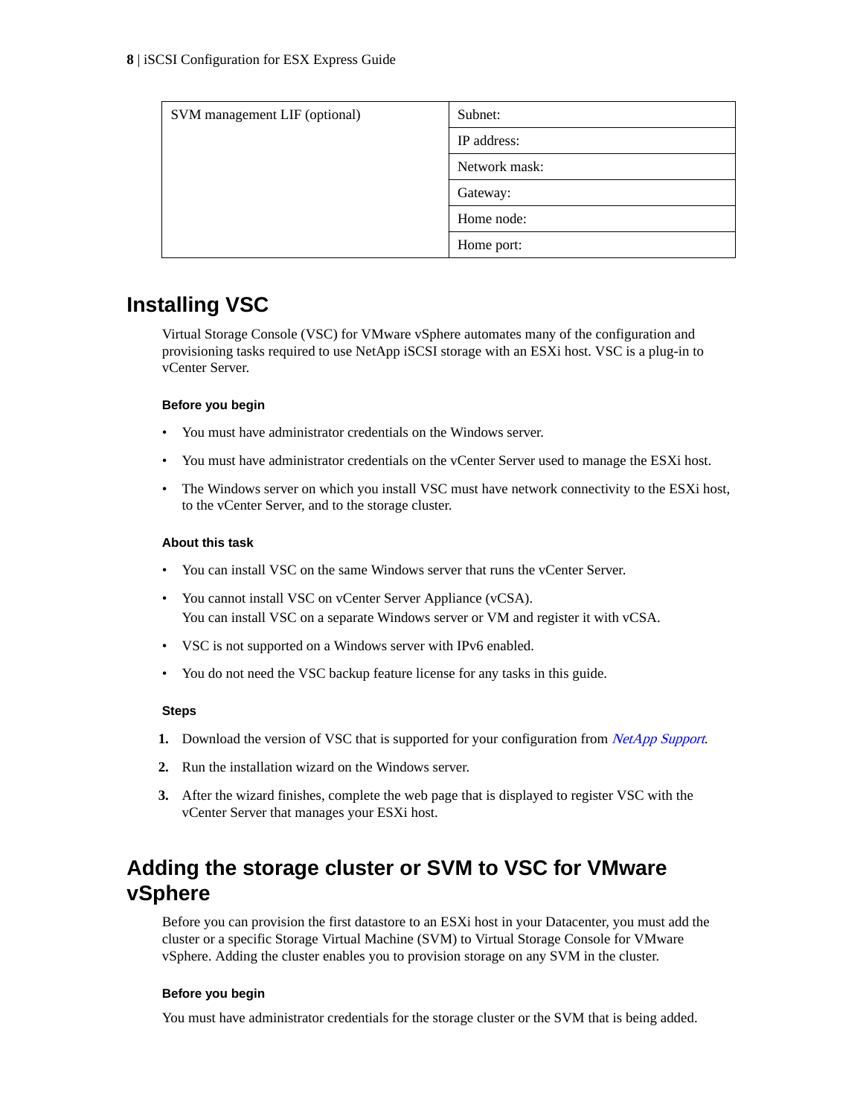<span id="page-7-0"></span>

| SVM management LIF (optional) | Subnet:       |
|-------------------------------|---------------|
|                               | IP address:   |
|                               | Network mask: |
|                               | Gateway:      |
|                               | Home node:    |
|                               | Home port:    |

# **Installing VSC**

Virtual Storage Console (VSC) for VMware vSphere automates many of the configuration and provisioning tasks required to use NetApp iSCSI storage with an ESXi host. VSC is a plug-in to vCenter Server.

#### **Before you begin**

- You must have administrator credentials on the Windows server.
- You must have administrator credentials on the vCenter Server used to manage the ESXi host.
- The Windows server on which you install VSC must have network connectivity to the ESXi host, to the vCenter Server, and to the storage cluster.

#### **About this task**

- You can install VSC on the same Windows server that runs the vCenter Server.
- You cannot install VSC on vCenter Server Appliance (vCSA). You can install VSC on a separate Windows server or VM and register it with vCSA.
- VSC is not supported on a Windows server with IPv6 enabled.
- You do not need the VSC backup feature license for any tasks in this guide.

#### **Steps**

- **1.** Download the version of VSC that is supported for your configuration from *[NetApp Support](http://mysupport.netapp.com)*.
- **2.** Run the installation wizard on the Windows server.
- **3.** After the wizard finishes, complete the web page that is displayed to register VSC with the vCenter Server that manages your ESXi host.

# **Adding the storage cluster or SVM to VSC for VMware vSphere**

Before you can provision the first datastore to an ESXi host in your Datacenter, you must add the cluster or a specific Storage Virtual Machine (SVM) to Virtual Storage Console for VMware vSphere. Adding the cluster enables you to provision storage on any SVM in the cluster.

#### **Before you begin**

You must have administrator credentials for the storage cluster or the SVM that is being added.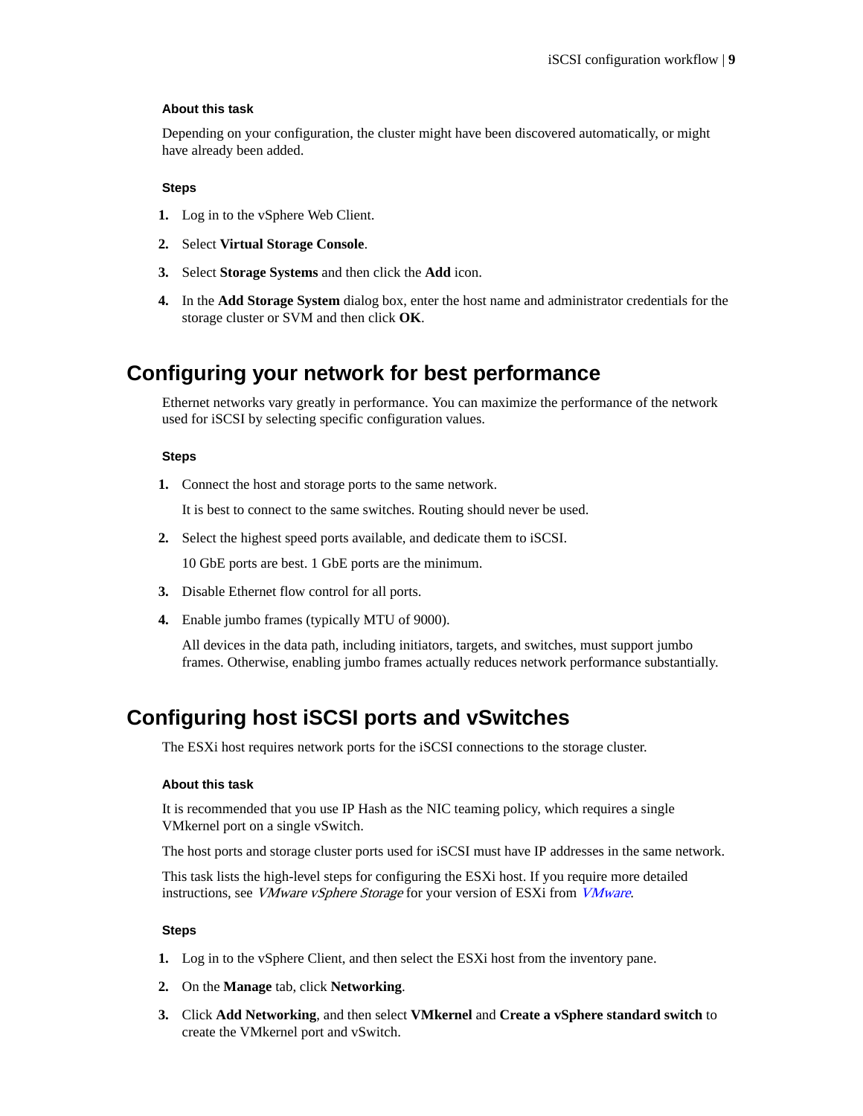#### <span id="page-8-0"></span>**About this task**

Depending on your configuration, the cluster might have been discovered automatically, or might have already been added.

#### **Steps**

- **1.** Log in to the vSphere Web Client.
- **2.** Select **Virtual Storage Console**.
- **3.** Select **Storage Systems** and then click the **Add** icon.
- **4.** In the **Add Storage System** dialog box, enter the host name and administrator credentials for the storage cluster or SVM and then click **OK**.

# **Configuring your network for best performance**

Ethernet networks vary greatly in performance. You can maximize the performance of the network used for iSCSI by selecting specific configuration values.

#### **Steps**

**1.** Connect the host and storage ports to the same network.

It is best to connect to the same switches. Routing should never be used.

**2.** Select the highest speed ports available, and dedicate them to iSCSI.

10 GbE ports are best. 1 GbE ports are the minimum.

- **3.** Disable Ethernet flow control for all ports.
- **4.** Enable jumbo frames (typically MTU of 9000).

All devices in the data path, including initiators, targets, and switches, must support jumbo frames. Otherwise, enabling jumbo frames actually reduces network performance substantially.

# **Configuring host iSCSI ports and vSwitches**

The ESXi host requires network ports for the iSCSI connections to the storage cluster.

#### **About this task**

It is recommended that you use IP Hash as the NIC teaming policy, which requires a single VMkernel port on a single vSwitch.

The host ports and storage cluster ports used for iSCSI must have IP addresses in the same network.

This task lists the high-level steps for configuring the ESXi host. If you require more detailed instructions, see *[VMware](http://www.vmware.com) vSphere Storage* for your version of ESXi from *VMware*.

#### **Steps**

- **1.** Log in to the vSphere Client, and then select the ESXi host from the inventory pane.
- **2.** On the **Manage** tab, click **Networking**.
- **3.** Click **Add Networking**, and then select **VMkernel** and **Create a vSphere standard switch** to create the VMkernel port and vSwitch.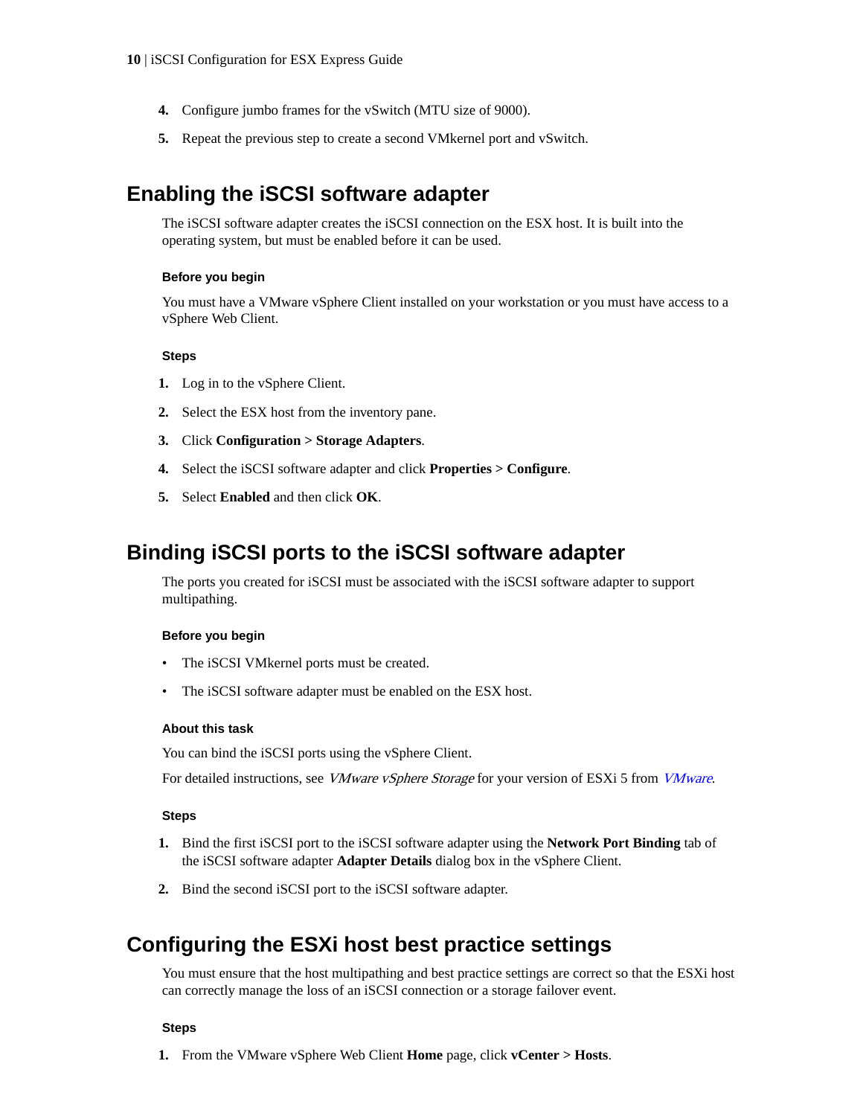- <span id="page-9-0"></span>**4.** Configure jumbo frames for the vSwitch (MTU size of 9000).
- **5.** Repeat the previous step to create a second VMkernel port and vSwitch.

# **Enabling the iSCSI software adapter**

The iSCSI software adapter creates the iSCSI connection on the ESX host. It is built into the operating system, but must be enabled before it can be used.

#### **Before you begin**

You must have a VMware vSphere Client installed on your workstation or you must have access to a vSphere Web Client.

#### **Steps**

- **1.** Log in to the vSphere Client.
- **2.** Select the ESX host from the inventory pane.
- **3.** Click **Configuration > Storage Adapters**.
- **4.** Select the iSCSI software adapter and click **Properties > Configure**.
- **5.** Select **Enabled** and then click **OK**.

# **Binding iSCSI ports to the iSCSI software adapter**

The ports you created for iSCSI must be associated with the iSCSI software adapter to support multipathing.

#### **Before you begin**

- The iSCSI VMkernel ports must be created.
- The iSCSI software adapter must be enabled on the ESX host.

#### **About this task**

You can bind the iSCSI ports using the vSphere Client.

For detailed instructions, see *[VMware](http://www.vmware.com) vSphere Storage* for your version of ESXi 5 from *VMware*.

#### **Steps**

- **1.** Bind the first iSCSI port to the iSCSI software adapter using the **Network Port Binding** tab of the iSCSI software adapter **Adapter Details** dialog box in the vSphere Client.
- **2.** Bind the second iSCSI port to the iSCSI software adapter.

# **Configuring the ESXi host best practice settings**

You must ensure that the host multipathing and best practice settings are correct so that the ESXi host can correctly manage the loss of an iSCSI connection or a storage failover event.

#### **Steps**

**1.** From the VMware vSphere Web Client **Home** page, click **vCenter > Hosts**.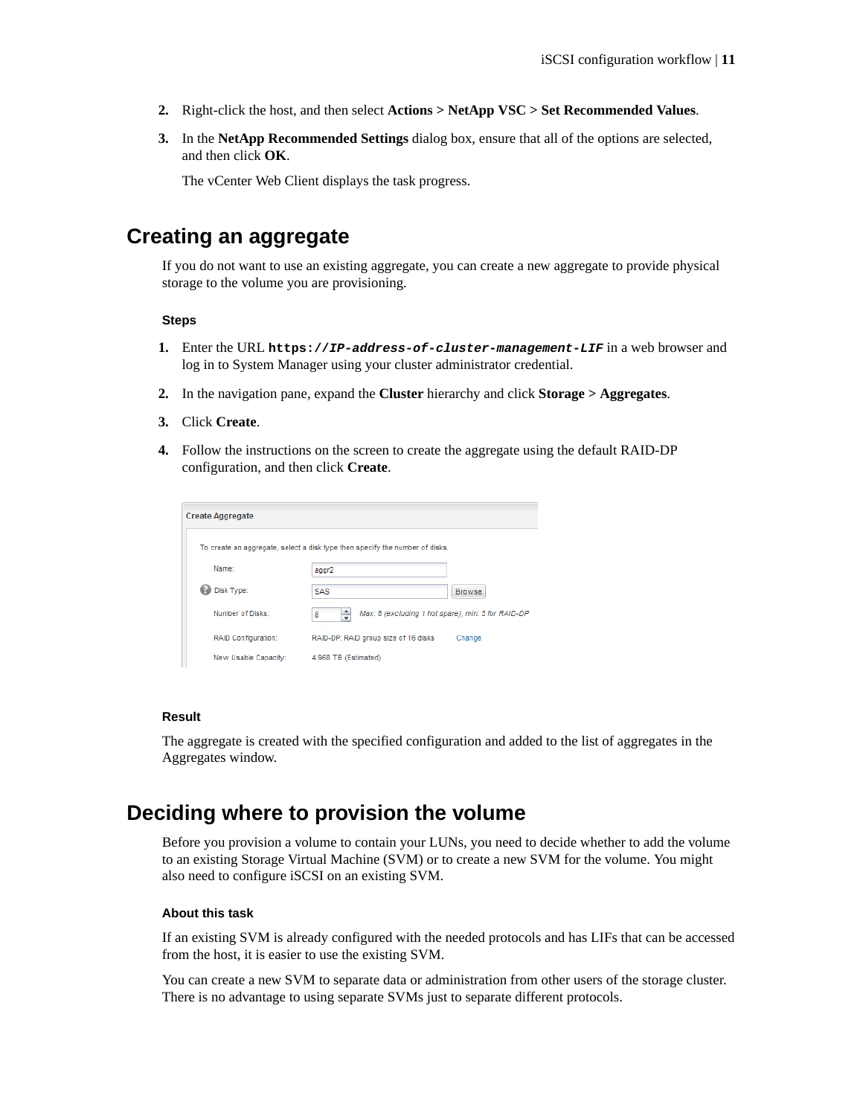- <span id="page-10-0"></span>**2.** Right-click the host, and then select **Actions > NetApp VSC > Set Recommended Values**.
- **3.** In the **NetApp Recommended Settings** dialog box, ensure that all of the options are selected, and then click **OK**.

The vCenter Web Client displays the task progress.

# **Creating an aggregate**

If you do not want to use an existing aggregate, you can create a new aggregate to provide physical storage to the volume you are provisioning.

#### **Steps**

- **1.** Enter the URL **https://IP-address-of-cluster-management-LIF** in a web browser and log in to System Manager using your cluster administrator credential.
- **2.** In the navigation pane, expand the **Cluster** hierarchy and click **Storage > Aggregates**.
- **3.** Click **Create**.
- **4.** Follow the instructions on the screen to create the aggregate using the default RAID-DP configuration, and then click **Create**.

| <b>Create Aggregate</b>    |                                                                              |               |
|----------------------------|------------------------------------------------------------------------------|---------------|
|                            | To create an aggregate, select a disk type then specify the number of disks. |               |
| Name:                      | aggr2                                                                        |               |
| Disk Type:                 | SAS                                                                          | <b>Browse</b> |
| Number of Disks:           | ÷<br>Max: 8 (excluding 1 hot spare), min: 5 for RAID-DP<br>8                 |               |
| <b>RAID Configuration:</b> | RAID-DP: RAID group size of 16 disks                                         | Change        |
| New Usable Capacity:       | 4.968 TB (Estimated)                                                         |               |

#### **Result**

The aggregate is created with the specified configuration and added to the list of aggregates in the Aggregates window.

# **Deciding where to provision the volume**

Before you provision a volume to contain your LUNs, you need to decide whether to add the volume to an existing Storage Virtual Machine (SVM) or to create a new SVM for the volume. You might also need to configure iSCSI on an existing SVM.

#### **About this task**

If an existing SVM is already configured with the needed protocols and has LIFs that can be accessed from the host, it is easier to use the existing SVM.

You can create a new SVM to separate data or administration from other users of the storage cluster. There is no advantage to using separate SVMs just to separate different protocols.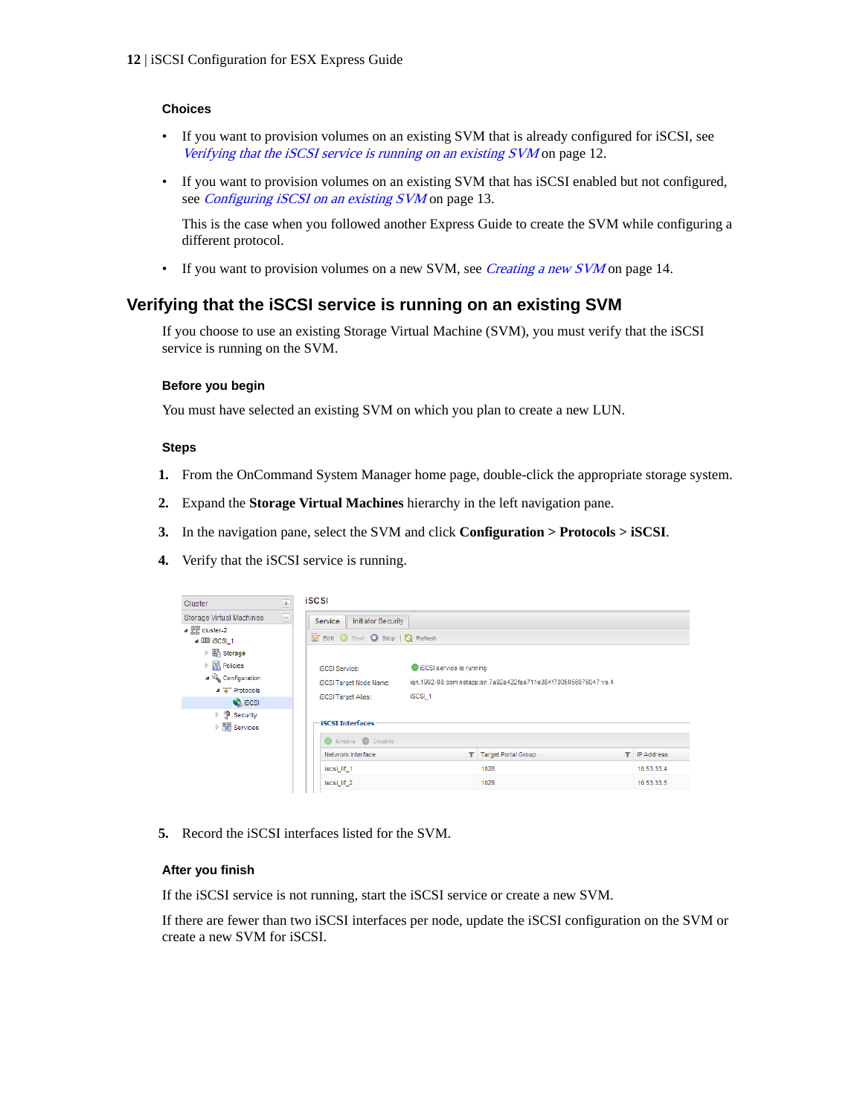#### <span id="page-11-0"></span>**Choices**

- If you want to provision volumes on an existing SVM that is already configured for iSCSI, see Verifying that the iSCSI service is running on an existing SVM on page 12.
- If you want to provision volumes on an existing SVM that has iSCSI enabled but not configured, see *[Configuring iSCSI on an existing SVM](#page-12-0)* on page 13.

This is the case when you followed another Express Guide to create the SVM while configuring a different protocol.

• If you want to provision volumes on a new SVM, see *[Creating a new SVM](#page-13-0)* on page 14.

## **Verifying that the iSCSI service is running on an existing SVM**

If you choose to use an existing Storage Virtual Machine (SVM), you must verify that the iSCSI service is running on the SVM.

#### **Before you begin**

You must have selected an existing SVM on which you plan to create a new LUN.

#### **Steps**

- **1.** From the OnCommand System Manager home page, double-click the appropriate storage system.
- **2.** Expand the **Storage Virtual Machines** hierarchy in the left navigation pane.
- **3.** In the navigation pane, select the SVM and click **Configuration > Protocols > iSCSI**.
- **4.** Verify that the iSCSI service is running.

| Cluster                                                                                                                                                | $+$ | <b>iSCSI</b>                                                                          |                                                                                                       |                            |   |                   |
|--------------------------------------------------------------------------------------------------------------------------------------------------------|-----|---------------------------------------------------------------------------------------|-------------------------------------------------------------------------------------------------------|----------------------------|---|-------------------|
| Storage Virtual Machines<br>$\triangle$ $\frac{m}{n+1}$ cluster-2<br>4 22 ISCSL 1<br>▷ 圖 Storage                                                       | 8   | <b>Initiator Security</b><br><b>Service</b><br>Edit Start Stop   & Refresh            |                                                                                                       |                            |   |                   |
| $\triangleright$ $\begin{array}{c} \boxed{90} \\ \boxed{101} \end{array}$ Policies<br>⊿ <sup>D</sup> Configuration<br>4 T Protocols<br><b>CA</b> iSCSI |     | <b>ISCSI Service:</b><br><b>iSCSI Target Node Name:</b><br><b>iSCSI Target Alias:</b> | SCSI service is running<br>ign.1992-08.com.netapp:sn.7a92a422fae711e384f7005056976047:vs.4<br>iSCSI_1 |                            |   |                   |
| $\triangleright$ $\blacksquare$ Security<br>▷ <b><i>Hill Services</i></b>                                                                              |     | <b>iSCSI Interfaces</b><br>C Enable C Disable                                         |                                                                                                       |                            |   |                   |
|                                                                                                                                                        |     | Network Interface                                                                     |                                                                                                       | <b>Target Portal Group</b> | ▼ | <b>IP Address</b> |
|                                                                                                                                                        |     | iscsi lif 1                                                                           |                                                                                                       | 1028                       |   | 10.53.33.4        |
|                                                                                                                                                        |     | iscsi_lif_2                                                                           |                                                                                                       | 1029                       |   | 10.53.33.5        |

**5.** Record the iSCSI interfaces listed for the SVM.

#### **After you finish**

If the iSCSI service is not running, start the iSCSI service or create a new SVM.

If there are fewer than two iSCSI interfaces per node, update the iSCSI configuration on the SVM or create a new SVM for iSCSI.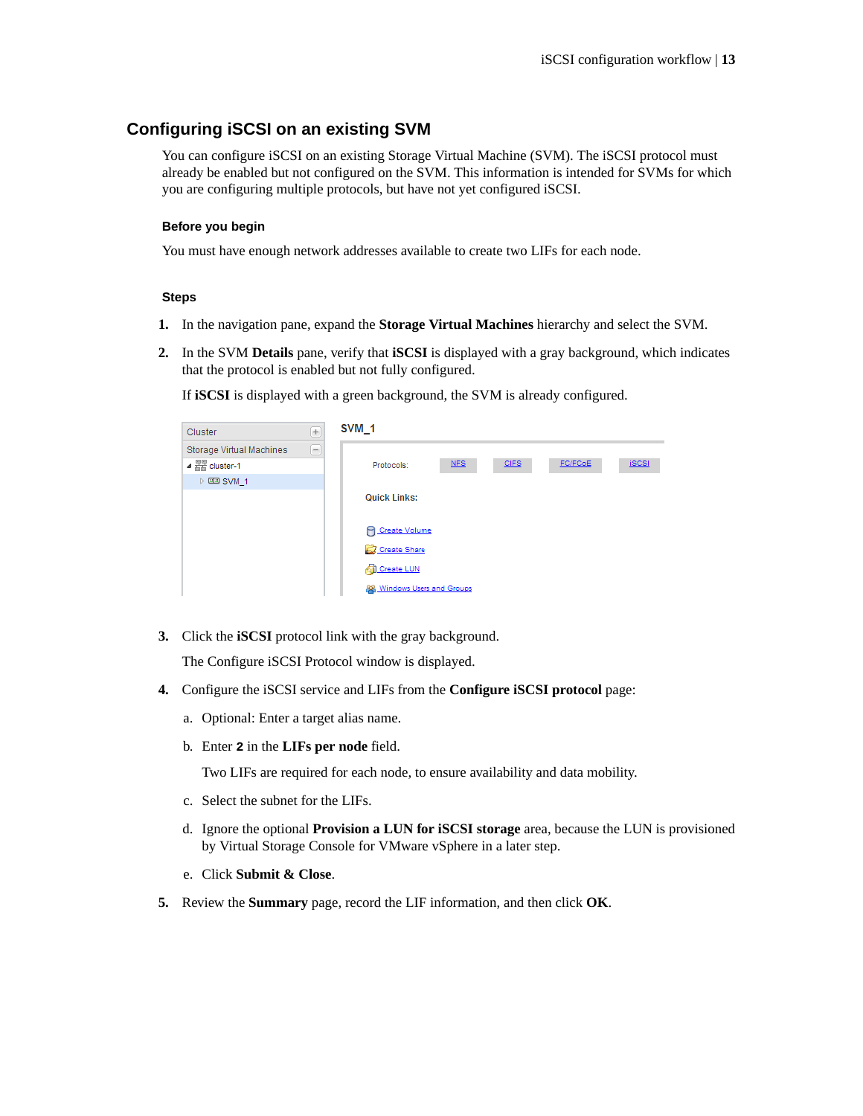## <span id="page-12-0"></span>**Configuring iSCSI on an existing SVM**

You can configure iSCSI on an existing Storage Virtual Machine (SVM). The iSCSI protocol must already be enabled but not configured on the SVM. This information is intended for SVMs for which you are configuring multiple protocols, but have not yet configured iSCSI.

#### **Before you begin**

You must have enough network addresses available to create two LIFs for each node.

#### **Steps**

- **1.** In the navigation pane, expand the **Storage Virtual Machines** hierarchy and select the SVM.
- **2.** In the SVM **Details** pane, verify that **iSCSI** is displayed with a gray background, which indicates that the protocol is enabled but not fully configured.

If **iSCSI** is displayed with a green background, the SVM is already configured.

| Cluster                             | $\pm$ | SVM <sub>1</sub>            |     |             |         |              |
|-------------------------------------|-------|-----------------------------|-----|-------------|---------|--------------|
| Storage Virtual Machines            | ۳     |                             |     |             |         |              |
| $\triangle$ $\frac{m}{n}$ cluster-1 |       | Protocols:                  | NFS | <b>CIFS</b> | FC/FCoE | <b>iSCSI</b> |
| $\triangleright$ EE SVM 1           |       |                             |     |             |         |              |
|                                     |       | <b>Quick Links:</b>         |     |             |         |              |
|                                     |       |                             |     |             |         |              |
|                                     |       | <b>P</b> Create Volume      |     |             |         |              |
|                                     |       | Create Share                |     |             |         |              |
|                                     |       | <b>Create LUN</b>           |     |             |         |              |
|                                     |       | 88 Windows Users and Groups |     |             |         |              |

**3.** Click the **iSCSI** protocol link with the gray background.

The Configure iSCSI Protocol window is displayed.

- **4.** Configure the iSCSI service and LIFs from the **Configure iSCSI protocol** page:
	- a. Optional: Enter a target alias name.
	- b. Enter **2** in the **LIFs per node** field.

Two LIFs are required for each node, to ensure availability and data mobility.

- c. Select the subnet for the LIFs.
- d. Ignore the optional **Provision a LUN for iSCSI storage** area, because the LUN is provisioned by Virtual Storage Console for VMware vSphere in a later step.
- e. Click **Submit & Close**.
- **5.** Review the **Summary** page, record the LIF information, and then click **OK**.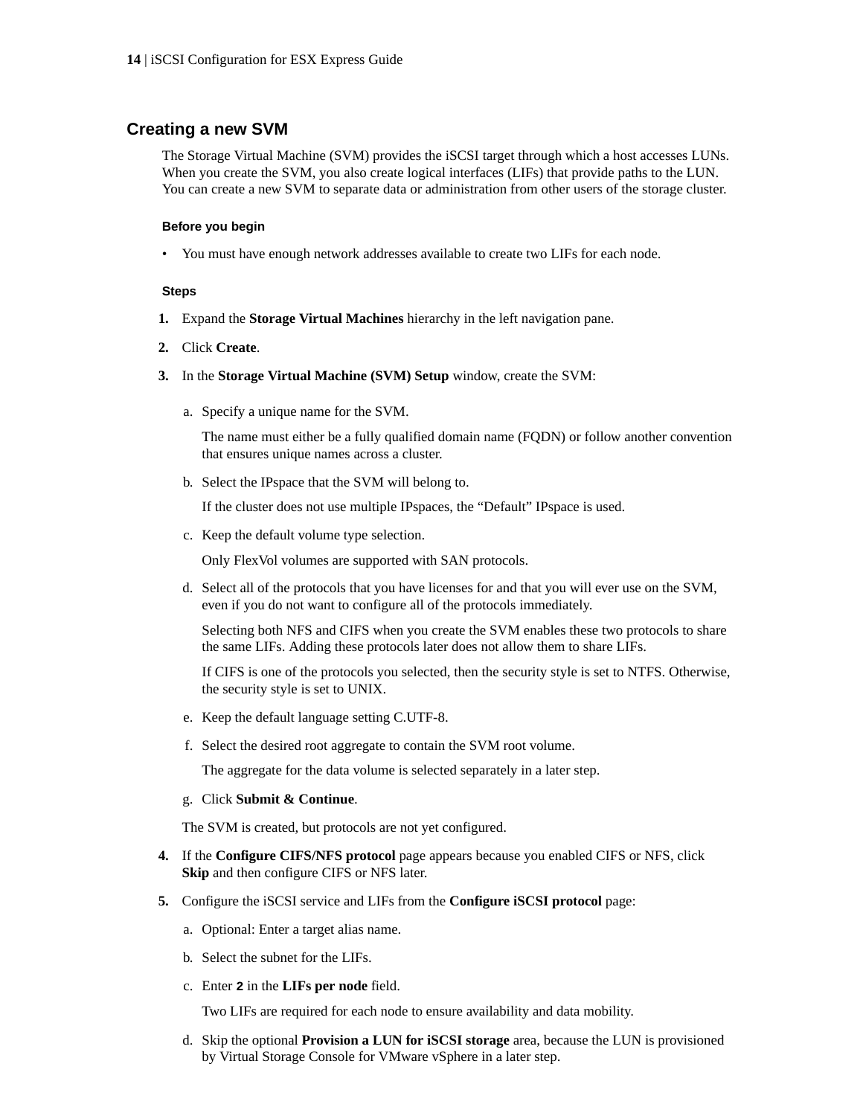### <span id="page-13-0"></span>**Creating a new SVM**

The Storage Virtual Machine (SVM) provides the iSCSI target through which a host accesses LUNs. When you create the SVM, you also create logical interfaces (LIFs) that provide paths to the LUN. You can create a new SVM to separate data or administration from other users of the storage cluster.

#### **Before you begin**

• You must have enough network addresses available to create two LIFs for each node.

#### **Steps**

- **1.** Expand the **Storage Virtual Machines** hierarchy in the left navigation pane.
- **2.** Click **Create**.
- **3.** In the **Storage Virtual Machine (SVM) Setup** window, create the SVM:
	- a. Specify a unique name for the SVM.

The name must either be a fully qualified domain name (FQDN) or follow another convention that ensures unique names across a cluster.

b. Select the IPspace that the SVM will belong to.

If the cluster does not use multiple IPspaces, the "Default" IPspace is used.

c. Keep the default volume type selection.

Only FlexVol volumes are supported with SAN protocols.

d. Select all of the protocols that you have licenses for and that you will ever use on the SVM, even if you do not want to configure all of the protocols immediately.

Selecting both NFS and CIFS when you create the SVM enables these two protocols to share the same LIFs. Adding these protocols later does not allow them to share LIFs.

If CIFS is one of the protocols you selected, then the security style is set to NTFS. Otherwise, the security style is set to UNIX.

- e. Keep the default language setting C.UTF-8.
- f. Select the desired root aggregate to contain the SVM root volume.

The aggregate for the data volume is selected separately in a later step.

g. Click **Submit & Continue**.

The SVM is created, but protocols are not yet configured.

- **4.** If the **Configure CIFS/NFS protocol** page appears because you enabled CIFS or NFS, click **Skip** and then configure CIFS or NFS later.
- **5.** Configure the iSCSI service and LIFs from the **Configure iSCSI protocol** page:
	- a. Optional: Enter a target alias name.
	- b. Select the subnet for the LIFs.
	- c. Enter **2** in the **LIFs per node** field.

Two LIFs are required for each node to ensure availability and data mobility.

d. Skip the optional **Provision a LUN for iSCSI storage** area, because the LUN is provisioned by Virtual Storage Console for VMware vSphere in a later step.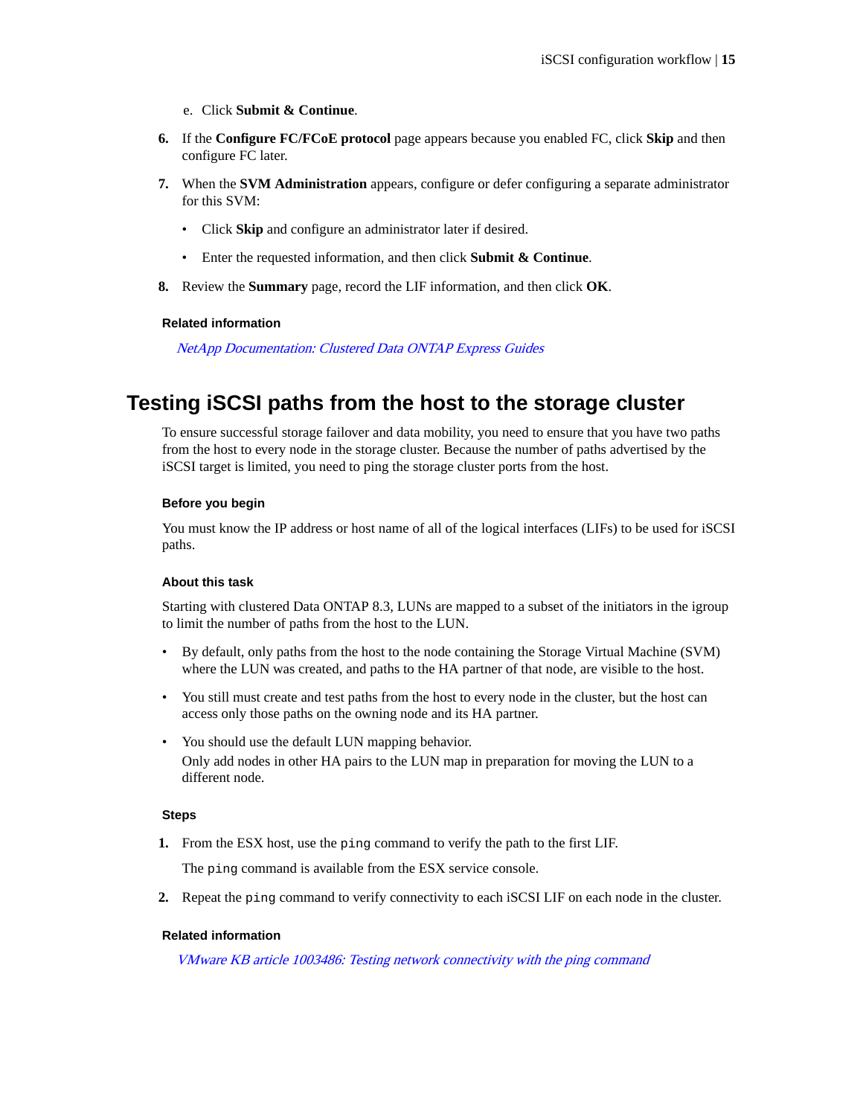- e. Click **Submit & Continue**.
- <span id="page-14-0"></span>**6.** If the **Configure FC/FCoE protocol** page appears because you enabled FC, click **Skip** and then configure FC later.
- **7.** When the **SVM Administration** appears, configure or defer configuring a separate administrator for this SVM:
	- Click **Skip** and configure an administrator later if desired.
	- Enter the requested information, and then click **Submit & Continue**.
- **8.** Review the **Summary** page, record the LIF information, and then click **OK**.

#### **Related information**

[NetApp Documentation: Clustered Data ONTAP Express Guides](http://mysupport.netapp.com/documentation/docweb/index.html?productID=61885)

# **Testing iSCSI paths from the host to the storage cluster**

To ensure successful storage failover and data mobility, you need to ensure that you have two paths from the host to every node in the storage cluster. Because the number of paths advertised by the iSCSI target is limited, you need to ping the storage cluster ports from the host.

#### **Before you begin**

You must know the IP address or host name of all of the logical interfaces (LIFs) to be used for iSCSI paths.

#### **About this task**

Starting with clustered Data ONTAP 8.3, LUNs are mapped to a subset of the initiators in the igroup to limit the number of paths from the host to the LUN.

- By default, only paths from the host to the node containing the Storage Virtual Machine (SVM) where the LUN was created, and paths to the HA partner of that node, are visible to the host.
- You still must create and test paths from the host to every node in the cluster, but the host can access only those paths on the owning node and its HA partner.
- You should use the default LUN mapping behavior. Only add nodes in other HA pairs to the LUN map in preparation for moving the LUN to a different node.

#### **Steps**

**1.** From the ESX host, use the ping command to verify the path to the first LIF.

The ping command is available from the ESX service console.

**2.** Repeat the ping command to verify connectivity to each iSCSI LIF on each node in the cluster.

#### **Related information**

[VMware KB article 1003486: Testing network connectivity with the ping command](http://kb.vmware.com/kb/1003486)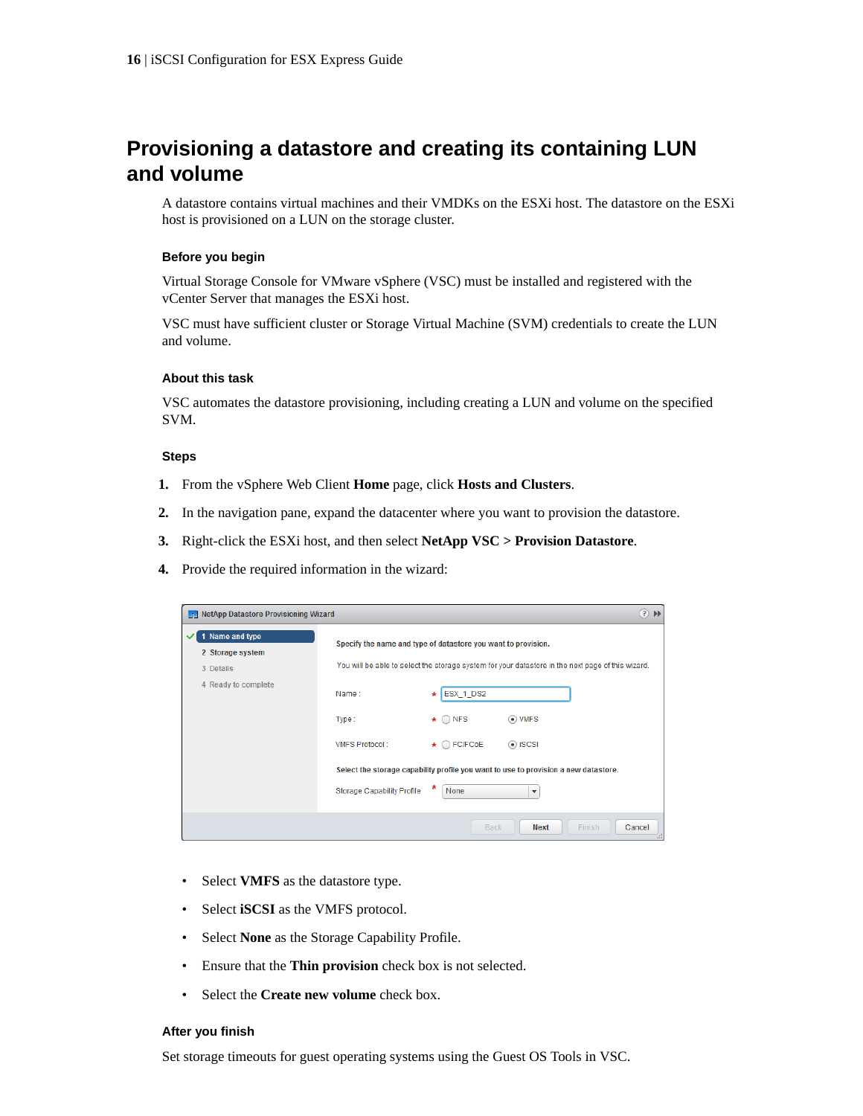# <span id="page-15-0"></span>**Provisioning a datastore and creating its containing LUN and volume**

A datastore contains virtual machines and their VMDKs on the ESXi host. The datastore on the ESXi host is provisioned on a LUN on the storage cluster.

#### **Before you begin**

Virtual Storage Console for VMware vSphere (VSC) must be installed and registered with the vCenter Server that manages the ESXi host.

VSC must have sufficient cluster or Storage Virtual Machine (SVM) credentials to create the LUN and volume.

#### **About this task**

VSC automates the datastore provisioning, including creating a LUN and volume on the specified SVM.

#### **Steps**

- **1.** From the vSphere Web Client **Home** page, click **Hosts and Clusters**.
- **2.** In the navigation pane, expand the datacenter where you want to provision the datastore.
- **3.** Right-click the ESXi host, and then select **NetApp VSC > Provision Datastore**.
- **4.** Provide the required information in the wizard:

| <b>Film NetApp Datastore Provisioning Wizard</b>                        |                                                                       |                                                                                                                                                                                                                                                                                                                                                                                                                | $(?) \mathbb{H}$ |
|-------------------------------------------------------------------------|-----------------------------------------------------------------------|----------------------------------------------------------------------------------------------------------------------------------------------------------------------------------------------------------------------------------------------------------------------------------------------------------------------------------------------------------------------------------------------------------------|------------------|
| 1 Name and type<br>2 Storage system<br>3 Details<br>4 Ready to complete | Name:<br>Type:<br><b>VMFS Protocol:</b><br>Storage Capability Profile | Specify the name and type of datastore you want to provision.<br>You will be able to select the storage system for your datastore in the next page of this wizard.<br>ESX_1_DS2<br>$\star$<br>$\star$ $\bigcirc$ NFS<br>$\odot$ VMFS<br>$\star$ $\bigcirc$ FC/FCoE<br>$\odot$ iSCSI<br>Select the storage capability profile you want to use to provision a new datastore.<br>None<br>$\overline{\phantom{a}}$ |                  |
|                                                                         |                                                                       | <b>Back</b><br><b>Next</b>                                                                                                                                                                                                                                                                                                                                                                                     | Finish<br>Cancel |

- Select **VMFS** as the datastore type.
- Select **iSCSI** as the VMFS protocol.
- Select **None** as the Storage Capability Profile.
- Ensure that the **Thin provision** check box is not selected.
- Select the **Create new volume** check box.

#### **After you finish**

Set storage timeouts for guest operating systems using the Guest OS Tools in VSC.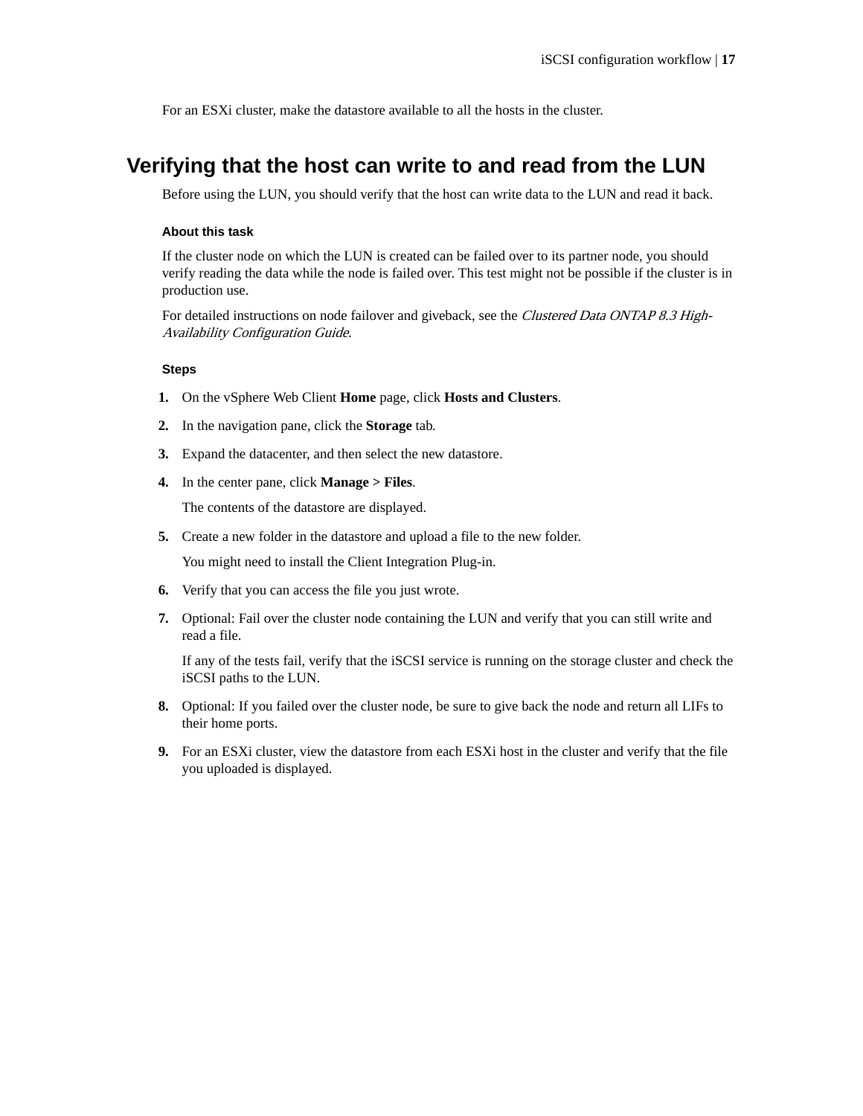<span id="page-16-0"></span>For an ESXi cluster, make the datastore available to all the hosts in the cluster.

# **Verifying that the host can write to and read from the LUN**

Before using the LUN, you should verify that the host can write data to the LUN and read it back.

#### **About this task**

If the cluster node on which the LUN is created can be failed over to its partner node, you should verify reading the data while the node is failed over. This test might not be possible if the cluster is in production use.

For detailed instructions on node failover and giveback, see the Clustered Data ONTAP 8.3 High-Availability Configuration Guide.

#### **Steps**

- **1.** On the vSphere Web Client **Home** page, click **Hosts and Clusters**.
- **2.** In the navigation pane, click the **Storage** tab.
- **3.** Expand the datacenter, and then select the new datastore.
- **4.** In the center pane, click **Manage > Files**.

The contents of the datastore are displayed.

**5.** Create a new folder in the datastore and upload a file to the new folder.

You might need to install the Client Integration Plug-in.

- **6.** Verify that you can access the file you just wrote.
- **7.** Optional: Fail over the cluster node containing the LUN and verify that you can still write and read a file.

If any of the tests fail, verify that the iSCSI service is running on the storage cluster and check the iSCSI paths to the LUN.

- **8.** Optional: If you failed over the cluster node, be sure to give back the node and return all LIFs to their home ports.
- **9.** For an ESXi cluster, view the datastore from each ESXi host in the cluster and verify that the file you uploaded is displayed.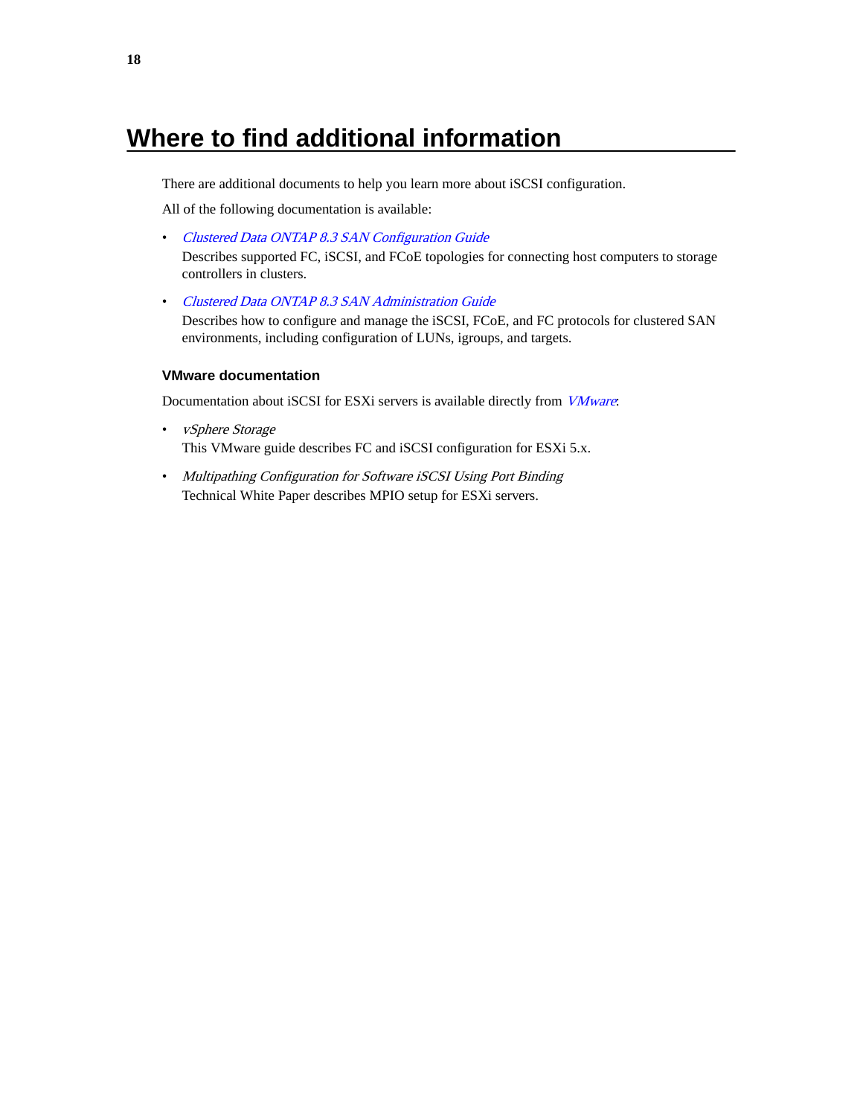# <span id="page-17-0"></span>**Where to find additional information**

There are additional documents to help you learn more about iSCSI configuration.

All of the following documentation is available:

• [Clustered Data ONTAP 8.3 SAN Configuration Guide](https://library.netapp.com/ecm/ecm_download_file/ECMP12458217)

Describes supported FC, iSCSI, and FCoE topologies for connecting host computers to storage controllers in clusters.

• [Clustered Data ONTAP 8.3 SAN Administration Guide](https://library.netapp.com/ecm/ecm_download_file/ECMP12458215) Describes how to configure and manage the iSCSI, FCoE, and FC protocols for clustered SAN environments, including configuration of LUNs, igroups, and targets.

#### **VMware documentation**

Documentation about iSCSI for ESXi servers is available directly from *[VMware](http://www.vmware.com)*:

- vSphere Storage This VMware guide describes FC and iSCSI configuration for ESXi 5.x.
- Multipathing Configuration for Software iSCSI Using Port Binding Technical White Paper describes MPIO setup for ESXi servers.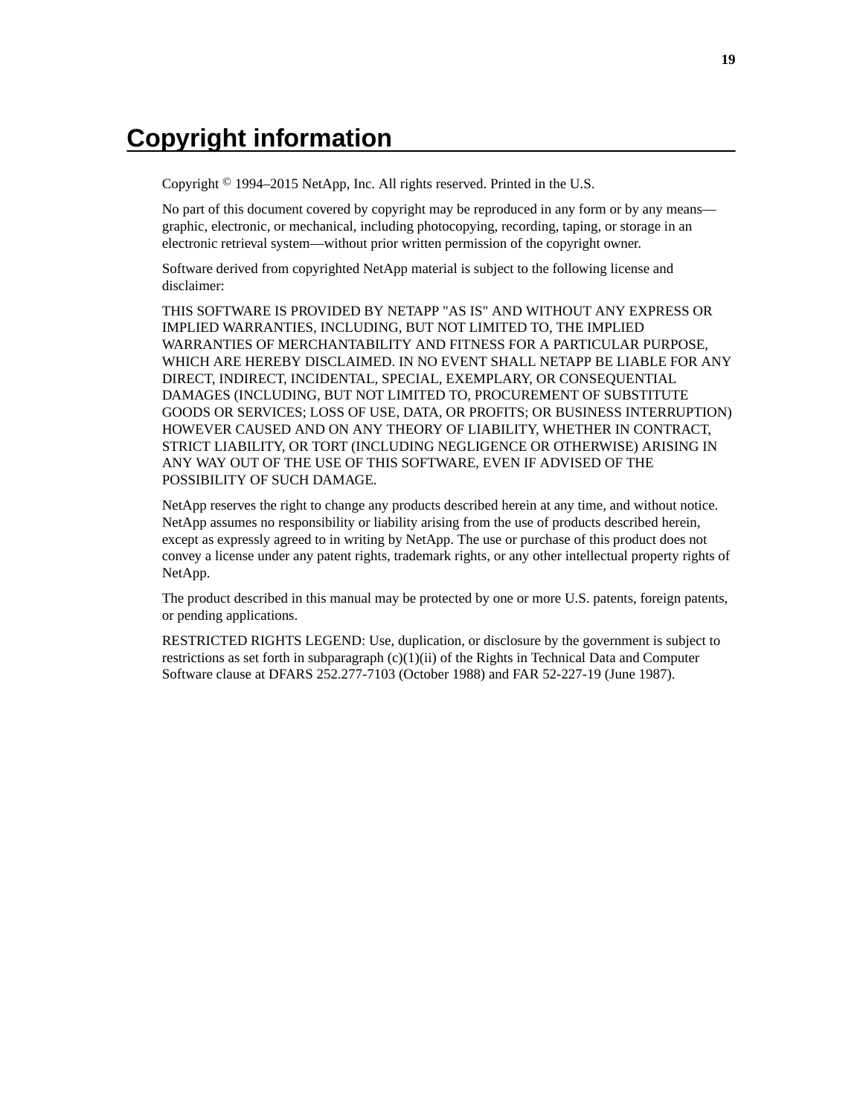# <span id="page-18-0"></span>**Copyright information**

Copyright © 1994–2015 NetApp, Inc. All rights reserved. Printed in the U.S.

No part of this document covered by copyright may be reproduced in any form or by any means graphic, electronic, or mechanical, including photocopying, recording, taping, or storage in an electronic retrieval system—without prior written permission of the copyright owner.

Software derived from copyrighted NetApp material is subject to the following license and disclaimer:

THIS SOFTWARE IS PROVIDED BY NETAPP "AS IS" AND WITHOUT ANY EXPRESS OR IMPLIED WARRANTIES, INCLUDING, BUT NOT LIMITED TO, THE IMPLIED WARRANTIES OF MERCHANTABILITY AND FITNESS FOR A PARTICULAR PURPOSE, WHICH ARE HEREBY DISCLAIMED. IN NO EVENT SHALL NETAPP BE LIABLE FOR ANY DIRECT, INDIRECT, INCIDENTAL, SPECIAL, EXEMPLARY, OR CONSEQUENTIAL DAMAGES (INCLUDING, BUT NOT LIMITED TO, PROCUREMENT OF SUBSTITUTE GOODS OR SERVICES; LOSS OF USE, DATA, OR PROFITS; OR BUSINESS INTERRUPTION) HOWEVER CAUSED AND ON ANY THEORY OF LIABILITY, WHETHER IN CONTRACT, STRICT LIABILITY, OR TORT (INCLUDING NEGLIGENCE OR OTHERWISE) ARISING IN ANY WAY OUT OF THE USE OF THIS SOFTWARE, EVEN IF ADVISED OF THE POSSIBILITY OF SUCH DAMAGE.

NetApp reserves the right to change any products described herein at any time, and without notice. NetApp assumes no responsibility or liability arising from the use of products described herein, except as expressly agreed to in writing by NetApp. The use or purchase of this product does not convey a license under any patent rights, trademark rights, or any other intellectual property rights of NetApp.

The product described in this manual may be protected by one or more U.S. patents, foreign patents, or pending applications.

RESTRICTED RIGHTS LEGEND: Use, duplication, or disclosure by the government is subject to restrictions as set forth in subparagraph  $(c)(1)(ii)$  of the Rights in Technical Data and Computer Software clause at DFARS 252.277-7103 (October 1988) and FAR 52-227-19 (June 1987).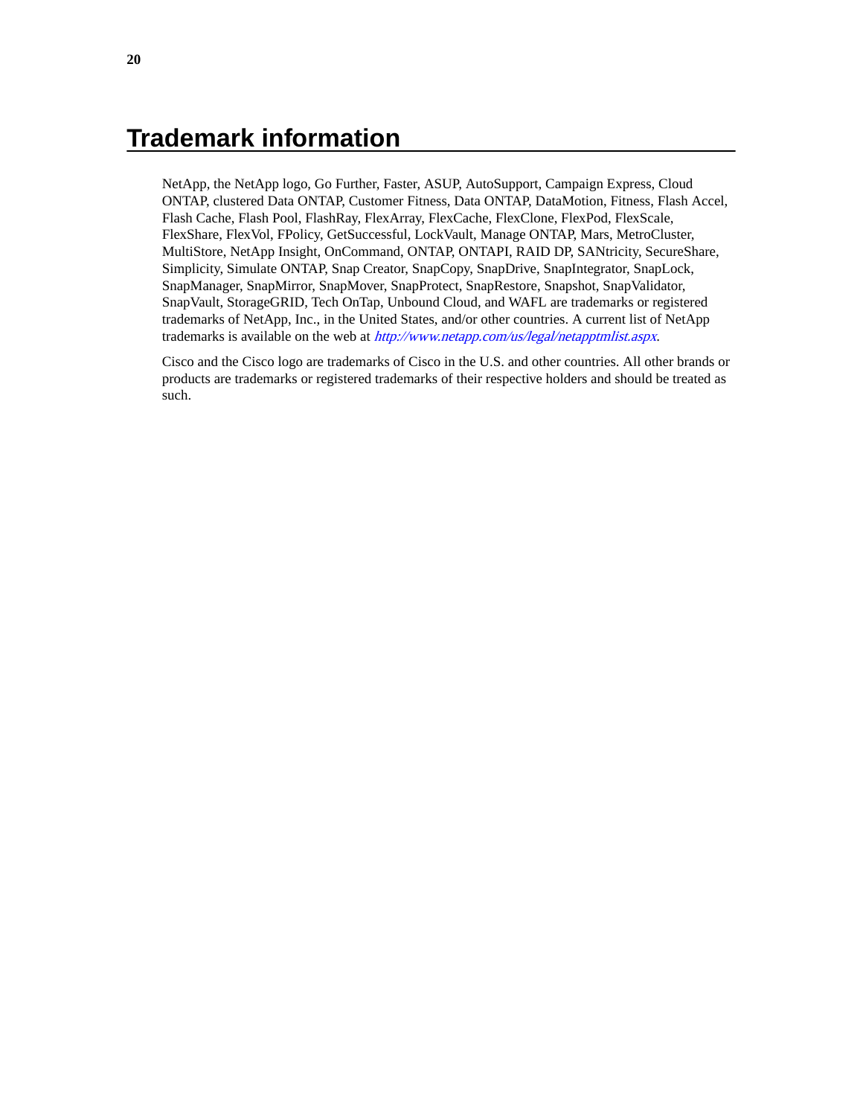# <span id="page-19-0"></span>**Trademark information**

NetApp, the NetApp logo, Go Further, Faster, ASUP, AutoSupport, Campaign Express, Cloud ONTAP, clustered Data ONTAP, Customer Fitness, Data ONTAP, DataMotion, Fitness, Flash Accel, Flash Cache, Flash Pool, FlashRay, FlexArray, FlexCache, FlexClone, FlexPod, FlexScale, FlexShare, FlexVol, FPolicy, GetSuccessful, LockVault, Manage ONTAP, Mars, MetroCluster, MultiStore, NetApp Insight, OnCommand, ONTAP, ONTAPI, RAID DP, SANtricity, SecureShare, Simplicity, Simulate ONTAP, Snap Creator, SnapCopy, SnapDrive, SnapIntegrator, SnapLock, SnapManager, SnapMirror, SnapMover, SnapProtect, SnapRestore, Snapshot, SnapValidator, SnapVault, StorageGRID, Tech OnTap, Unbound Cloud, and WAFL are trademarks or registered trademarks of NetApp, Inc., in the United States, and/or other countries. A current list of NetApp trademarks is available on the web at <http://www.netapp.com/us/legal/netapptmlist.aspx>.

Cisco and the Cisco logo are trademarks of Cisco in the U.S. and other countries. All other brands or products are trademarks or registered trademarks of their respective holders and should be treated as such.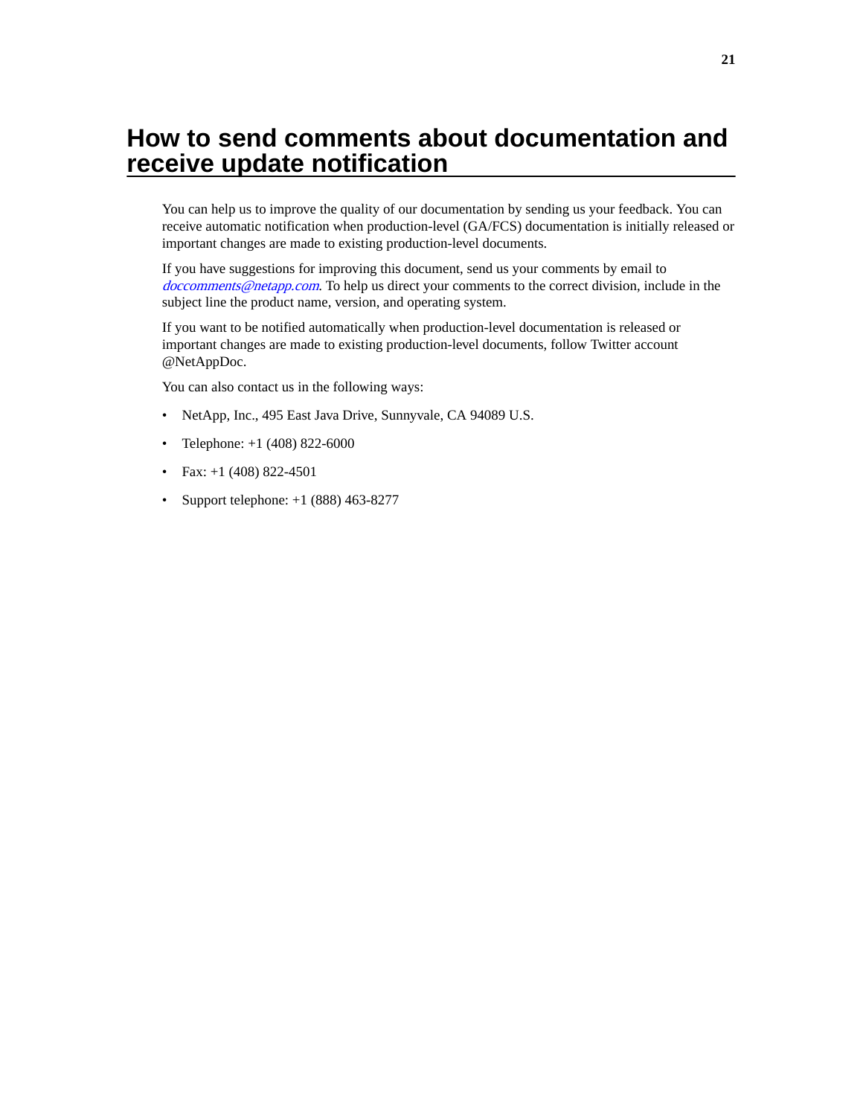# <span id="page-20-0"></span>**How to send comments about documentation and receive update notification**

You can help us to improve the quality of our documentation by sending us your feedback. You can receive automatic notification when production-level (GA/FCS) documentation is initially released or important changes are made to existing production-level documents.

If you have suggestions for improving this document, send us your comments by email to [doccomments@netapp.com](mailto:doccomments@netapp.com). To help us direct your comments to the correct division, include in the subject line the product name, version, and operating system.

If you want to be notified automatically when production-level documentation is released or important changes are made to existing production-level documents, follow Twitter account @NetAppDoc.

You can also contact us in the following ways:

- NetApp, Inc., 495 East Java Drive, Sunnyvale, CA 94089 U.S.
- Telephone:  $+1$  (408) 822-6000
- Fax:  $+1$  (408) 822-4501
- Support telephone:  $+1$  (888) 463-8277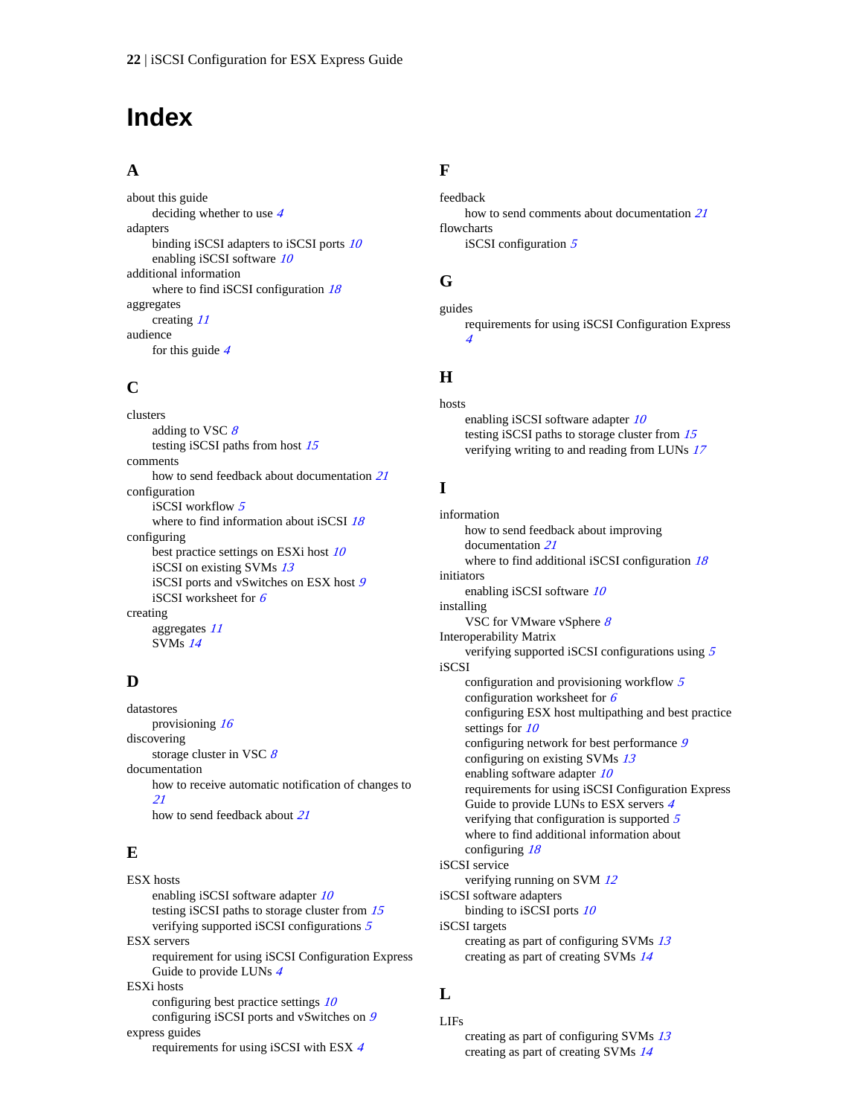# <span id="page-21-0"></span>**Index**

### **A**

about this guide deciding whether to use [4](#page-3-0) adapters binding iSCSI adapters to iSCSI ports [10](#page-9-0) enabling iSCSI software [10](#page-9-0) additional information where to find iSCSI configuration  $18$ aggregates creating [11](#page-10-0) audience for this guide [4](#page-3-0)

### **C**

clusters adding to VSC  $8$ testing iSCSI paths from host [15](#page-14-0) comments how to send feedback about documentation [21](#page-20-0) configuration iSCSI workflow [5](#page-4-0) where to find information about iSCSI [18](#page-17-0) configuring best practice settings on ESXi host [10](#page-9-0) iSCSI on existing SVMs [13](#page-12-0) iSCSI ports and vSwitches on ESX host [9](#page-8-0) iSCSI worksheet for [6](#page-5-0) creating aggregates [11](#page-10-0) SVMs [14](#page-13-0)

## **D**

datastores provisioning [16](#page-15-0) discovering storage cluster in VSC  $8$ documentation how to receive automatic notification of changes to [21](#page-20-0) how to send feedback about [21](#page-20-0)

## **E**

ESX hosts enabling iSCSI software adapter  $10$ testing iSCSI paths to storage cluster from [15](#page-14-0) verifying supported iSCSI configurations [5](#page-4-0) ESX servers requirement for using iSCSI Configuration Express Guide to provide LUNs [4](#page-3-0) ESXi hosts configuring best practice settings  $10$ configuring iSCSI ports and vSwitches on [9](#page-8-0) express guides requirements for using iSCSI with ESX [4](#page-3-0)

## **F**

feedback how to send comments about documentation [21](#page-20-0) flowcharts iSCSI configuration  $5$ 

## **G**

guides requirements for using iSCSI Configuration Express [4](#page-3-0)

## **H**

hosts enabling iSCSI software adapter [10](#page-9-0) testing iSCSI paths to storage cluster from [15](#page-14-0) verifying writing to and reading from LUNs [17](#page-16-0)

# **I**

information how to send feedback about improving documentation [21](#page-20-0) where to find additional iSCSI configuration [18](#page-17-0) initiators enabling iSCSI software [10](#page-9-0) installing VSC for VMware vSphere [8](#page-7-0) Interoperability Matrix verifying supported iSCSI configurations using [5](#page-4-0) iSCSI configuration and provisioning workflow [5](#page-4-0) configuration worksheet for [6](#page-5-0) configuring ESX host multipathing and best practice settings for [10](#page-9-0) configuring network for best performance [9](#page-8-0) configuring on existing SVMs [13](#page-12-0) enabling software adapter  $10$ requirements for using iSCSI Configuration Express Guide to provide LUNs to ESX servers [4](#page-3-0) verifying that configuration is supported [5](#page-4-0) where to find additional information about configuring [18](#page-17-0) iSCSI service verifying running on SVM  $12$ iSCSI software adapters binding to iSCSI ports [10](#page-9-0) iSCSI targets creating as part of configuring SVMs [13](#page-12-0) creating as part of creating SVMs [14](#page-13-0)

## **L**

LIFs creating as part of configuring SVMs [13](#page-12-0) creating as part of creating SVMs [14](#page-13-0)